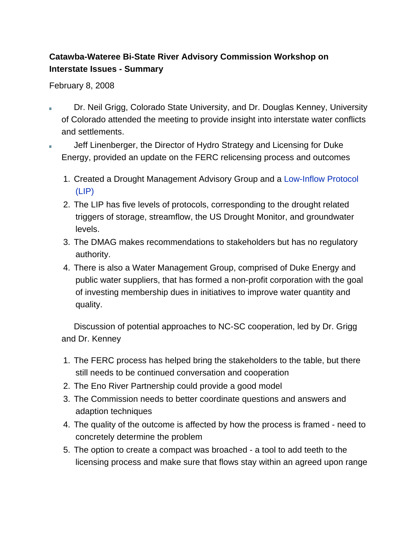## **Catawba-Wateree Bi-State River Advisory Commission Workshop on Interstate Issues - Summary**

## February 8, 2008

- Dr. Neil Grigg, Colorado State University, and Dr. Douglas Kenney, University of Colorado attended the meeting to provide insight into interstate water conflicts and settlements.
- Jeff Linenberger, the Director of Hydro Strategy and Licensing for Duke Energy, provided an update on the FERC relicensing process and outcomes
	- 1. Created a Drought Management Advisory Group and a Low-Inflow Protocol (LIP)
	- 2. The LIP has five levels of protocols, corresponding to the drought related triggers of storage, streamflow, the US Drought Monitor, and groundwater levels.
	- 3. The DMAG makes recommendations to stakeholders but has no regulatory authority.
	- 4. There is also a Water Management Group, comprised of Duke Energy and public water suppliers, that has formed a non-profit corporation with the goal of investing membership dues in initiatives to improve water quantity and quality.

Discussion of potential approaches to NC-SC cooperation, led by Dr. Grigg and Dr. Kenney

- 1. The FERC process has helped bring the stakeholders to the table, but there still needs to be continued conversation and cooperation
- 2. The Eno River Partnership could provide a good model
- 3. The Commission needs to better coordinate questions and answers and adaption techniques
- 4. The quality of the outcome is affected by how the process is framed need to concretely determine the problem
- 5. The option to create a compact was broached a tool to add teeth to the licensing process and make sure that flows stay within an agreed upon range